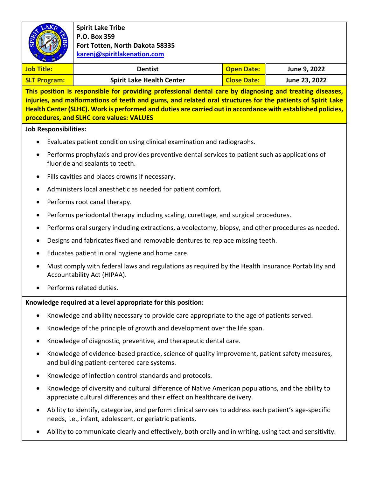

**Spirit Lake Tribe P.O. Box 359 Fort Totten, North Dakota 58335 [karenj@spiritlakenation.com](mailto:karenj@spiritlakenation.com)**

| <b>Job Title:</b>   | <b>Dentist</b>                   | Open Date:  | June 9, 2022  |
|---------------------|----------------------------------|-------------|---------------|
| <b>SLT Program:</b> | <b>Spirit Lake Health Center</b> | Close Date: | June 23, 2022 |

**This position is responsible for providing professional dental care by diagnosing and treating diseases, injuries, and malformations of teeth and gums, and related oral structures for the patients of Spirit Lake Health Center (SLHC). Work is performed and duties are carried out in accordance with established policies, procedures, and SLHC core values: VALUES**

**Job Responsibilities:**

- Evaluates patient condition using clinical examination and radiographs.
- Performs prophylaxis and provides preventive dental services to patient such as applications of fluoride and sealants to teeth.
- Fills cavities and places crowns if necessary.
- Administers local anesthetic as needed for patient comfort.
- Performs root canal therapy.
- Performs periodontal therapy including scaling, curettage, and surgical procedures.
- Performs oral surgery including extractions, alveolectomy, biopsy, and other procedures as needed.
- Designs and fabricates fixed and removable dentures to replace missing teeth.
- Educates patient in oral hygiene and home care.
- Must comply with federal laws and regulations as required by the Health Insurance Portability and Accountability Act (HIPAA).
- Performs related duties.

#### **Knowledge required at a level appropriate for this position:**

- Knowledge and ability necessary to provide care appropriate to the age of patients served.
- Knowledge of the principle of growth and development over the life span.
- Knowledge of diagnostic, preventive, and therapeutic dental care.
- Knowledge of evidence-based practice, science of quality improvement, patient safety measures, and building patient-centered care systems.
- Knowledge of infection control standards and protocols.
- Knowledge of diversity and cultural difference of Native American populations, and the ability to appreciate cultural differences and their effect on healthcare delivery.
- Ability to identify, categorize, and perform clinical services to address each patient's age-specific needs, i.e., infant, adolescent, or geriatric patients.
- Ability to communicate clearly and effectively, both orally and in writing, using tact and sensitivity.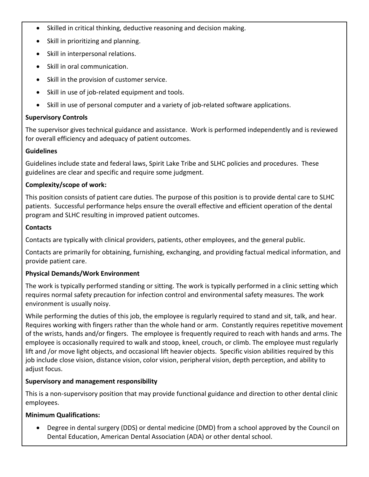- Skilled in critical thinking, deductive reasoning and decision making.
- Skill in prioritizing and planning.
- Skill in interpersonal relations.
- Skill in oral communication.
- Skill in the provision of customer service.
- Skill in use of job-related equipment and tools.
- Skill in use of personal computer and a variety of job-related software applications.

### **Supervisory Controls**

The supervisor gives technical guidance and assistance. Work is performed independently and is reviewed for overall efficiency and adequacy of patient outcomes.

### **Guidelines**

Guidelines include state and federal laws, Spirit Lake Tribe and SLHC policies and procedures. These guidelines are clear and specific and require some judgment.

### **Complexity/scope of work:**

This position consists of patient care duties. The purpose of this position is to provide dental care to SLHC patients. Successful performance helps ensure the overall effective and efficient operation of the dental program and SLHC resulting in improved patient outcomes.

### **Contacts**

Contacts are typically with clinical providers, patients, other employees, and the general public.

Contacts are primarily for obtaining, furnishing, exchanging, and providing factual medical information, and provide patient care.

# **Physical Demands/Work Environment**

The work is typically performed standing or sitting. The work is typically performed in a clinic setting which requires normal safety precaution for infection control and environmental safety measures. The work environment is usually noisy.

While performing the duties of this job, the employee is regularly required to stand and sit, talk, and hear. Requires working with fingers rather than the whole hand or arm. Constantly requires repetitive movement of the wrists, hands and/or fingers. The employee is frequently required to reach with hands and arms. The employee is occasionally required to walk and stoop, kneel, crouch, or climb. The employee must regularly lift and /or move light objects, and occasional lift heavier objects. Specific vision abilities required by this job include close vision, distance vision, color vision, peripheral vision, depth perception, and ability to adjust focus.

# **Supervisory and management responsibility**

This is a non-supervisory position that may provide functional guidance and direction to other dental clinic employees.

# **Minimum Qualifications:**

• Degree in dental surgery (DDS) or dental medicine (DMD) from a school approved by the Council on Dental Education, American Dental Association (ADA) or other dental school.